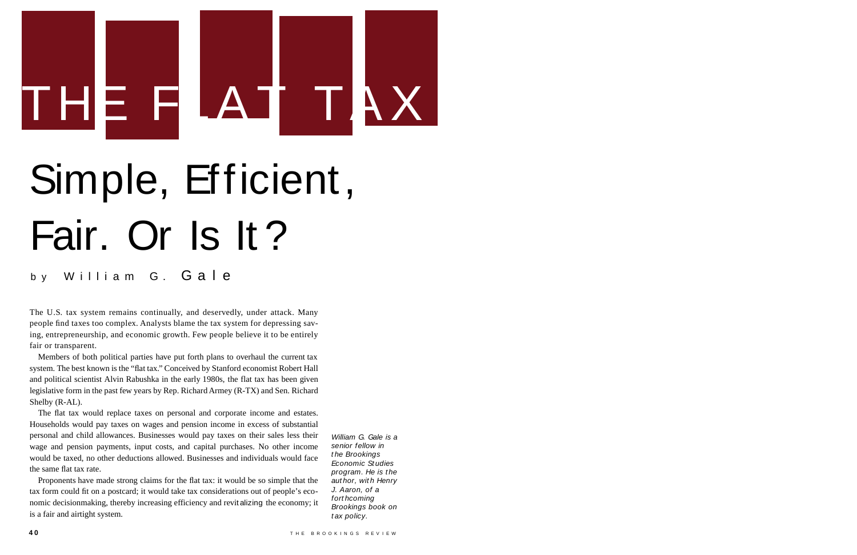Members of both political parties have put forth plans to overhaul the current tax system. The best known is the "flat tax." Conceived by Stanford economist Robert Hall and political scientist Alvin Rabushka in the early 1980s, the flat tax has been given legislative form in the past few years by Rep. Richard Armey (R-TX) and Sen. Richard Shelby (R-AL).

# Simple, Efficient, Fair. Or Is It ?

by William G. Gale

The U.S. tax system remains continually, and deservedly, under attack. Many people find taxes too complex. Analysts blame the tax system for depressing saving, entrepreneurship, and economic growth. Few people believe it to be entirely fair or transparent.

> William G. Gale is a senior fellow in t he Brookings Economic St udies program. He is the author, with Henry J. Aaron, of a fort hcoming Brookings book on tax policy.

The flat tax would replace taxes on personal and corporate income and estates. Households would pay taxes on wages and pension income in excess of substantial personal and child allowances. Businesses would pay taxes on their sales less their wage and pension payments, input costs, and capital purchases. No other income would be taxed, no other deductions allowed. Businesses and individuals would face the same flat tax rate.

Proponents have made strong claims for the flat tax: it would be so simple that the tax form could fit on a postcard; it would take tax considerations out of people's economic decisionmaking, thereby increasing efficiency and revit alizing the economy; it is a fair and airtight system.

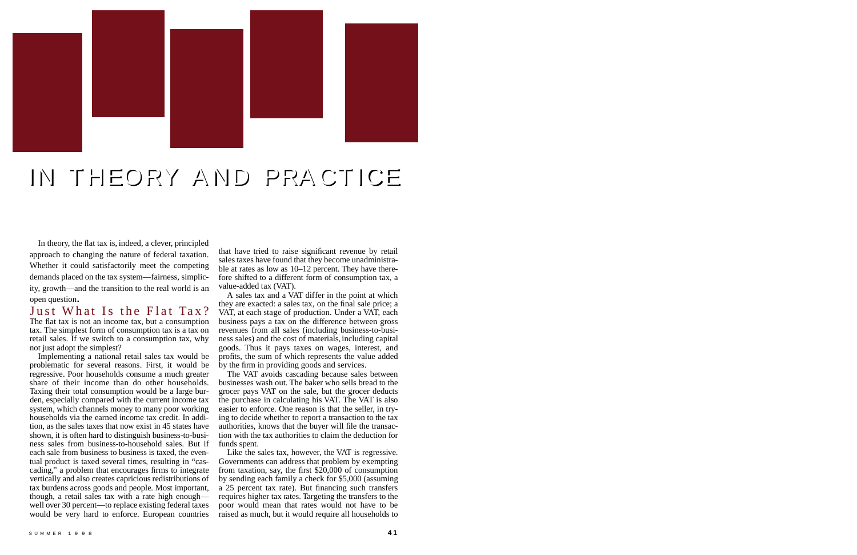In theory, the flat tax is, indeed, a clever, principled approach to changing the nature of federal taxation. Whether it could satisfactorily meet the competing demands placed on the tax system—fairness, simplicity, growth—and the transition to the real world is an open question.

Just What Is the Flat Tax? The flat tax is not an income tax, but a consumption tax. The simplest form of consumption tax is a tax on retail sales. If we switch to a consumption tax, why not just adopt the simplest?

Implementing a national retail sales tax would be problematic for several reasons. First, it would be regressive. Poor households consume a much greater share of their income than do other households. Taxing their total consumption would be a large burden, especially compared with the current income tax system, which channels money to many poor working households via the earned income tax credit. In addition, as the sales taxes that now exist in 45 states have shown, it is often hard to distinguish business-to-business sales from business-to-household sales. But if each sale from business to business is taxed, the eventual product is taxed several times, resulting in "cascading," a problem that encourages firms to integrate vertically and also creates capricious redistributions of tax burdens across goods and people. Most important, though, a retail sales tax with a rate high enough well over 30 percent—to replace existing federal taxes would be very hard to enforce. European countries

that have tried to raise significant revenue by retail sales taxes have found that they become unadministrable at rates as low as  $10-12$  percent. They have therefore shifted to a different form of consumption tax, a value-added tax (VAT).

The VAT avoids cascading because sales between businesses wash out. The baker who sells bread to the grocer pays VAT on the sale, but the grocer deducts the purchase in calculating his VAT. The VAT is also easier to enforce. One reason is that the seller, in trying to decide whether to report a transaction to the tax authorities, knows that the buyer will file the transaction with the tax authorities to claim the deduction for funds spent.

A sales tax and a VAT differ in the point at which they are exacted: a sales tax, on the final sale price; a VAT, at each stage of production. Under a VAT, each business pays a tax on the difference between gross revenues from all sales (including business-to-business sales) and the cost of materials, including capital goods. Thus it pays taxes on wages, interest, and profits, the sum of which represents the value added by the firm in providing goods and services.

Like the sales tax, however, the VAT is regressive. Governments can address that problem by exempting from taxation, say, the first \$20,000 of consumption by sending each family a check for \$5,000 (assuming a 25 percent tax rate). But financing such transfers requires higher tax rates. Targeting the transfers to the poor would mean that rates would not have to be raised as much, but it would require all households to



# IN T HEORY A ND PRA CT ICE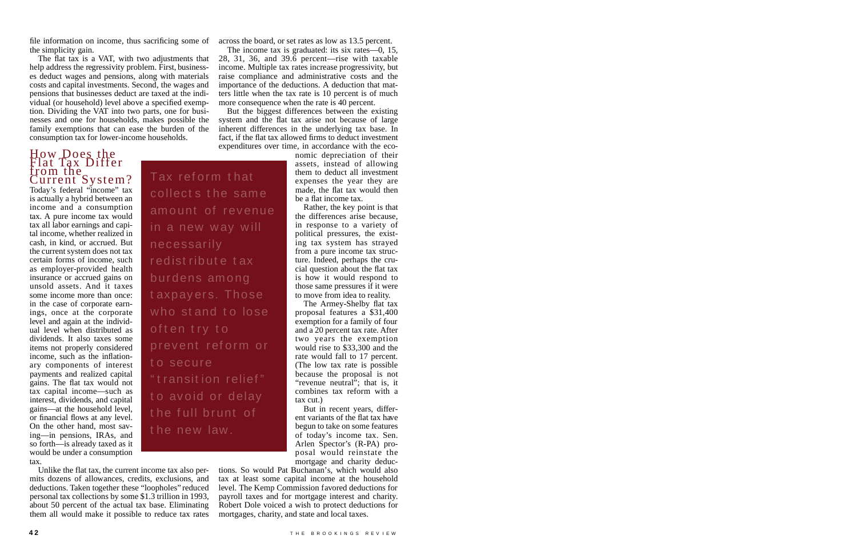file information on income, thus sacrificing some of across the board, or set rates as low as 13.5 percent. the simplicity gain.

#### H ow Does the Flat Tax Differ from the Current System?

Today's federal "income" tax is actually a hybrid between an income and a consumption tax. A pure income tax would tax all labor earnings and capital income, whether realized in cash, in kind, or accrued. But the current system does not tax certain forms of income, such as employer-provided health insurance or accrued gains on unsold assets. And it taxes some income more than once: in the case of corporate earnings, once at the corporate level and again at the individual level when distributed as dividends. It also taxes some items not properly considered in come, such as the inflationary components of interest p ayments and realized capital gains. The flat tax would not tax capital income—such as interest, dividends, and capital gains—at the household level, or financial flows at any level. On the other hand, most saving—in pensions, IRAs, and so forth—is already taxed as it would be under a consumption tax.

The flat tax is a VAT, with two adjustments that help address the regressivity problem. First, businesses deduct wages and pensions, along with materials costs and capital investments. Second, the wages and pensions that businesses deduct are taxed at the individual (or household) level above a specified exemption. Dividing the VAT into two parts, one for businesses and one for households, makes possible the family exemptions that can ease the burden of the consumption tax for lower-income households.

> nomic depreciation of their assets, instead of allowing them to deduct all investment expenses the year they are made, the flat tax would then be a flat income tax.

But in recent years, different variants of the flat tax have begun to take on some features of today 's income tax. Sen. Arlen Spector's (R-PA) proposal would reinstate the mortgage and charity deduc-

Unlike the flat tax, the current income tax also permits dozens of allowances, credits, exclusions, and deductions. Taken together these "loopholes" reduced personal tax collections by some \$1.3 trillion in 1993, about 50 percent of the actual tax base. Eliminating them all would make it possible to reduce tax rates

The income tax is graduated: its six rates—0, 15, 28, 31, 36, and  $39.\overline{6}$  percent—rise with taxable income. Multiple tax rates increase progressivity, but raise compliance and administrative costs and the importance of the deductions. A deduction that matters little when the tax rate is 10 percent is of much more consequence when the rate is 40 percent.

But the biggest differences between the existing system and the flat tax arise not because of large inherent differences in the underlying tax base. In fact, if the flat tax allowed firms to deduct investment expenditures over time, in accordance with the eco-

> Rather, the key point is that the differences arise because, in response to a variety of political pressures, the existing tax system has strayed from a pure income tax structure. Indeed, perhaps the crucial question about the flat tax is how it would respond to those same pressures if it were to move from idea to reality.

The Armey-Shelby flat tax proposal features a \$31,400 exemption for a family of four and a 20 percent tax rate. After two years the exemption would rise to \$33,300 and the rate would fall to 17 percent. (The low tax rate is possible because the proposal is not " revenue neutral"; that is, it combines tax reform with a tax cut.)

tions. So would Pat Buchanan's, which would also tax at least some capital income at the household level. The Kemp Commission favored deductions for payroll taxes and for mortgage interest and charity. Robert Dole voiced a wish to protect deductions for mortgages, charity, and state and local taxes.

Tax ref orm t hat

collects the same

in a new way will

r edist ribut e t ax

burdens among

often try to

necessarily

amount of revenue

prev ent ref orm or

" transition relief"

to avoid or delay

the full brunt of

t o secure

t axpayers. Those

who stand to lose

t he new law .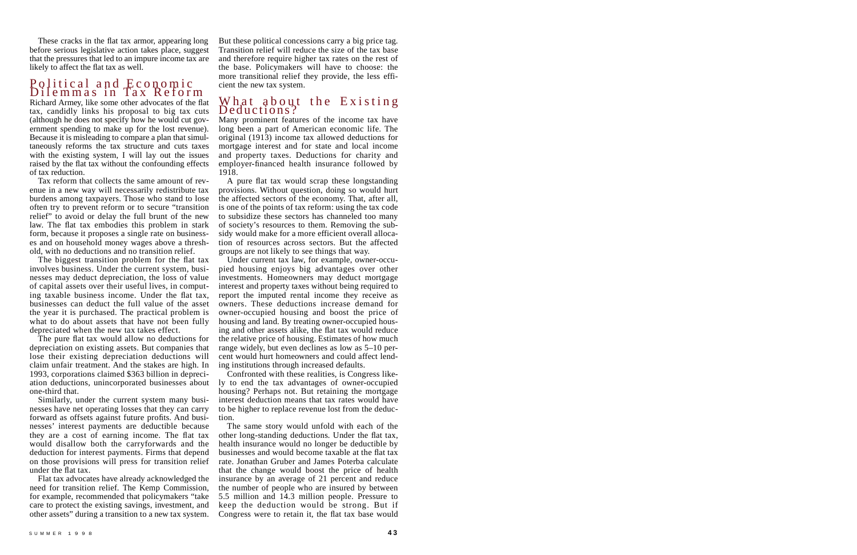These cracks in the flat tax armor, appearing long before serious legislative action takes place, suggest that the pressures that led to an impure income tax are likely to affect the flat tax as well.

### Political and Economic Dilemmas in Tax Reform

Richard Armey, like some other advocates of the flat tax, candidly links his proposal to big tax cuts (although he does not specify how he would cut government spending to make up for the lost revenue). Because it is misleading to compare a plan that simultaneously reforms the tax structure and cuts taxes with the existing system, I will lay out the issues raised by the flat tax without the confounding effects of tax reduction.

Tax reform that collects the same amount of revenue in a new way will necessarily redistribute tax burdens among taxpayers. Those who stand to lose often try to prevent reform or to secure "transition" relief" to avoid or delay the full brunt of the new law. The flat tax embodies this problem in stark form, because it proposes a single rate on businesses and on household money wages above a threshold, with no deductions and no transition relief.

The biggest transition problem for the flat tax involves business. Under the current system, businesses may deduct depreciation, the loss of value of capital assets over their useful lives, in computing taxable business income. Under the flat tax, businesses can deduct the full value of the asset the year it is purchased. The practical problem is what to do about assets that have not been fully depreciated when the new tax takes effect.

The pure flat tax would allow no deductions for depreciation on existing assets. But companies that lose their existing depreciation deductions will claim unfair treatment. And the stakes are high. In 1993, corporations claimed \$363 billion in depreciation deductions, unincorporated businesses about one-third that.

Similarly, under the current system many businesses have net operating losses that they can carry forward as offsets against future profits. And businesses' interest payments are deductible because they are a cost of earning income. The flat tax would disallow both the carryforwards and the deduction for interest payments. Firms that depend on those provisions will press for transition relief under the flat tax.

F lat tax advocates have already acknowledged the need for transition relief. The Kemp Commission, for example, recommended that policy makers "take" care to protect the existing savings, investment, and other assets" during a transition to a new tax system.

A pure flat tax would scrap these longstanding provisions. Without question, doing so would hurt the affected sectors of the economy. That, after all, is one of the points of tax reform: using the tax code to subsidize these sectors has channeled too many of society's resources to them. Removing the subsidy would make for a more efficient overall allocation of resources across sectors. But the affected groups are not likely to see things that way.

Under current tax law, for example, owner-occupied housing enjoys big advantages over other investments. Homeowners may deduct mortgage interest and property taxes without being required to report the imputed rental income they receive as owners. These deductions increase demand for owner-occupied housing and boost the price of housing and land. By treating owner-occupied housing and other assets alike, the flat tax would reduce the relative price of housing. Estimates of how much range widely, but even declines as low as  $5-10$  percent would hurt homeowners and could affect lending institutions through increased defaults.

Confronted with these realities, is Congress likely to end the tax advantages of owner-occupied housing? Perhaps not. But retaining the mortgage interest deduction means that tax rates would have to be higher to replace revenue lost from the deduction.

The same story would unfold with each of the other long-standing deductions. Under the flat tax, health insurance would no longer be deductible by businesses and would become taxable at the flat tax rate. Jonathan Gruber and James Poterba calculate that the change would boost the price of health in surance by an average of 21 percent and reduce the number of people who are insured by between  $5.5$  million and  $14.3$  million people. Pressure to keep the deduction would be strong. But if Congress were to retain it, the flat tax base would

But these political concessions carry a big price tag. Transition relief will reduce the size of the tax base and therefore require higher tax rates on the rest of the base. Policymakers will have to choose: the more transitional relief they provide, the less efficient the new tax system.

#### What about the Existing Deductions?

Many prominent features of the income tax have long been a part of American economic life. The original (1913) income tax allowed deductions for mortgage interest and for state and local income and property taxes. Deductions for charity and employer-financed health insurance followed by 1918.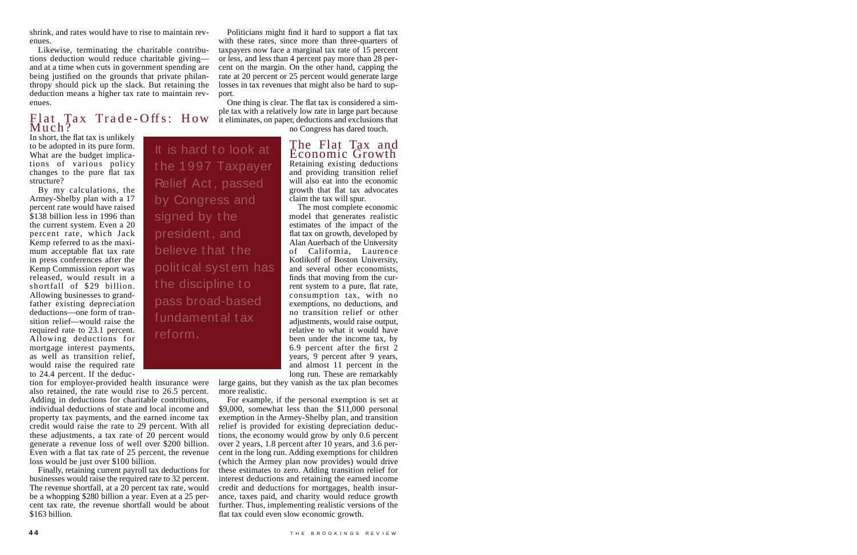shrink, and rates would have to rise to maintain revenues.

Likewise, terminating the charitable contributions deduction would reduce charitable giving  $$ and at a time when cuts in government spending are being justified on the grounds that private philanthropy should pick up the slack. But retaining the deduction means a higher tax rate to maintain revenues.

## $F_i$  at  $T_i$  ax  $T_i$  Trade-Offs: How Much?

It is hard to look at

By my calculations, the Armey-Shelby plan with a 17 percent rate would have raised \$138 billion less in 1996 than the current system. Even a 20 percent rate, which Jack Kemp referred to as the maximum acceptable flat tax rate in press conferences after the Kemp Commission report was released, would result in a shortfall of \$29 billion. Allowing businesses to grandfather existing depreciation  $deductions$  one form of transition relief—would raise the required rate to 23.1 percent. Allowing deductions for mortgage interest payments. as well as transition relief, would raise the required rate to 24.4 percent. If the deduc-

#### The Flat Tax and Economic Growth Retaining existing deductions and providing transition relief will also eat into the economic growth that flat tax advocates

loss would be just over \$100 billion.

Finally, retaining current payroll tax deductions for businesses would raise the required rate to 32 percent. The revenue shortfall, at a 20 percent tax rate, would be a whopping \$280 billion a year. Even at a 25 percent tax rate, the revenue shortfall would be about

In short, the flat tax is unlikely to be adopted in its pure form. What are the budget implications of various policy changes to the pure flat tax structure?

\$163 billion.

Politicians might find it hard to support a flat tax with these rates, since more than three-quarters of taxpayers now face a marginal tax rate of 15 percent or less, and less than 4 percent pay more than 28 percent on the margin. On the other hand, capping the rate at 20 percent or 25 percent would generate large losses in tax revenues that might also be hard to support.

One thing is clear. The flat tax is considered a simple tax with a relatively low rate in large part because it eliminates, on paper, deductions and exclusions that

no Congress has dared touch.

claim the tax will spur. The most complete economic model that generates realistic estimates of the impact of the flat tax on growth, developed by Alan Auerbach of the University of California, Laurence Kotlikoff of Boston University, and several other economists, finds that moving from the current system to a pure, flat rate, consumption tax, with no exemptions, no deductions, and no transition relief or other adjustments, would raise output, relative to what it would have been under the income tax, by 6.9 percent after the first 2 years, 9 percent after 9 years, and almost 11 percent in the long run. These are remarkably

large gains, but they vanish as the tax plan becomes more realistic.

For example, if the personal exemption is set at  $$9,000$ , somewhat less than the  $$11,000$  personal exemption in the Armey-Shelby plan, and transition relief is provided for existing depreciation deductions, the economy would grow by only 0.6 percent over 2 years,  $1.8$  percent after 10 years, and  $3.6$  percent in the long run. Adding exemptions for children (which the Armey plan now provides) would drive these estimates to zero. Adding transition relief for interest deductions and retaining the earned income credit and deductions for mortgages, health insurance, taxes paid, and charity would reduce growth further. Thus, implementing realistic versions of the flat tax could even slow economic growth.

t he 1997 Taxpayer

Relief Act , passed

by Congress and

signed by the

president , and

believe t hat t he

the discipline to

polit ical syst em has

tion for employer-provided health insurance were also retained, the rate would rise to 26.5 percent. Adding in deductions for charitable contributions, individual deductions of state and local income and property tax payments, and the earned income tax credit would raise the rate to 29 percent. With all these adjustments, a tax rate of  $20$  percent would generate a revenue loss of well over \$200 billion. Even with a flat tax rate of 25 percent, the revenue

pass broad-based

fundament al t ax

reform.